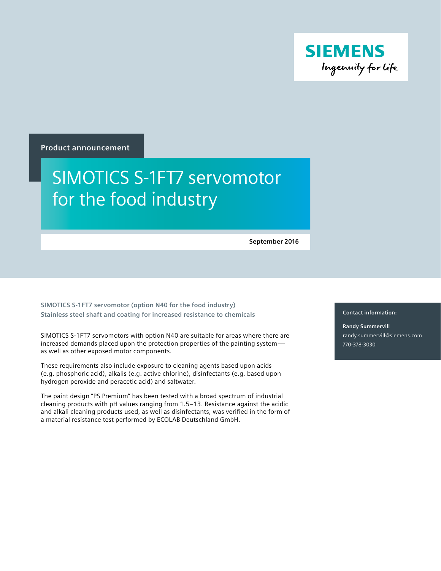

**Product announcement**

## SIMOTICS S-1FT7 servomotor for the food industry

**September 2016**

**SIMOTICS S-1FT7 servomotor (option N40 for the food industry) Stainless steel shaft and coating for increased resistance to chemicals**

SIMOTICS S-1FT7 servomotors with option N40 are suitable for areas where there are increased demands placed upon the protection properties of the painting system as well as other exposed motor components.

These requirements also include exposure to cleaning agents based upon acids (e.g. phosphoric acid), alkalis (e.g. active chlorine), disinfectants (e.g. based upon hydrogen peroxide and peracetic acid) and saltwater.

The paint design "PS Premium" has been tested with a broad spectrum of industrial cleaning products with pH values ranging from 1.5–13. Resistance against the acidic and alkali cleaning products used, as well as disinfectants, was verified in the form of a material resistance test performed by ECOLAB Deutschland GmbH.

**Contact information:**

**Randy Summervill** randy.summervill@siemens.com 770-378-3030